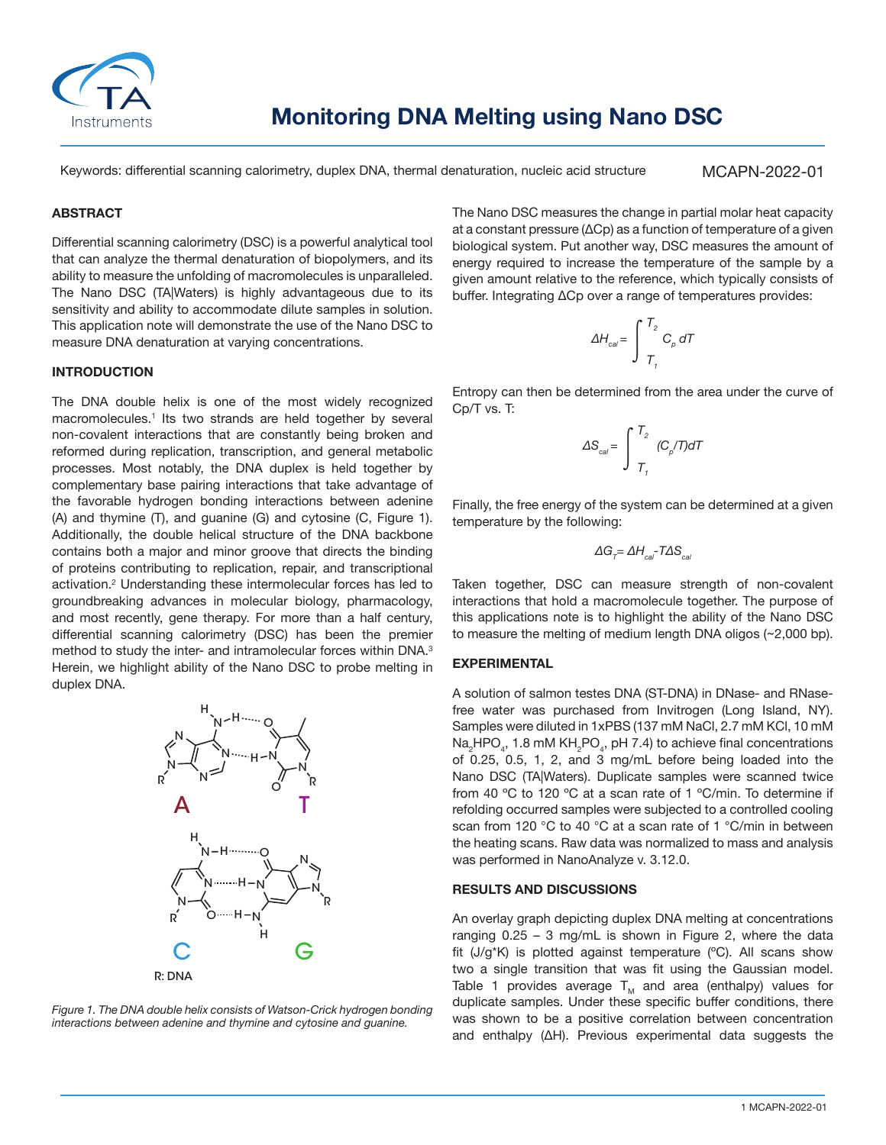

Keywords: differential scanning calorimetry, duplex DNA, thermal denaturation, nucleic acid structure

MCAPN-2022-01

### **ABSTRACT**

Differential scanning calorimetry (DSC) is a powerful analytical tool that can analyze the thermal denaturation of biopolymers, and its ability to measure the unfolding of macromolecules is unparalleled. The Nano DSC (TA|Waters) is highly advantageous due to its sensitivity and ability to accommodate dilute samples in solution. This application note will demonstrate the use of the Nano DSC to measure DNA denaturation at varying concentrations.

#### **INTRODUCTION**

The DNA double helix is one of the most widely recognized macromolecules.<sup>1</sup> Its two strands are held together by several non-covalent interactions that are constantly being broken and reformed during replication, transcription, and general metabolic processes. Most notably, the DNA duplex is held together by complementary base pairing interactions that take advantage of the favorable hydrogen bonding interactions between adenine (A) and thymine (T), and guanine (G) and cytosine (C, Figure 1). Additionally, the double helical structure of the DNA backbone contains both a major and minor groove that directs the binding of proteins contributing to replication, repair, and transcriptional activation.<sup>2</sup> Understanding these intermolecular forces has led to groundbreaking advances in molecular biology, pharmacology, and most recently, gene therapy. For more than a half century, differential scanning calorimetry (DSC) has been the premier method to study the inter- and intramolecular forces within DNA.<sup>3</sup> Herein, we highlight ability of the Nano DSC to probe melting in duplex DNA.



*Figure 1. The DNA double helix consists of Watson-Crick hydrogen bonding interactions between adenine and thymine and cytosine and guanine.*

The Nano DSC measures the change in partial molar heat capacity at a constant pressure (ΔCp) as a function of temperature of a given biological system. Put another way, DSC measures the amount of energy required to increase the temperature of the sample by a given amount relative to the reference, which typically consists of buffer. Integrating ΔCp over a range of temperatures provides:

$$
\Delta H_{cal} = \int_{T_1}^{T_2} C_p dT
$$

Entropy can then be determined from the area under the curve of Cp/T vs. T:

$$
\Delta S_{\text{cal}} = \int_{T_1}^{T_2} (C_p/T) dT
$$

Finally, the free energy of the system can be determined at a given temperature by the following:

$$
\Delta G_{T} = \Delta H_{cal} - T \Delta S_{cal}
$$

Taken together, DSC can measure strength of non-covalent interactions that hold a macromolecule together. The purpose of this applications note is to highlight the ability of the Nano DSC to measure the melting of medium length DNA oligos (~2,000 bp).

#### **EXPERIMENTAL**

A solution of salmon testes DNA (ST-DNA) in DNase- and RNasefree water was purchased from Invitrogen (Long Island, NY). Samples were diluted in 1xPBS (137 mM NaCl, 2.7 mM KCl, 10 mM  $\textsf{Na}_2\textsf{HPO}_4$ , 1.8 mM KH $_2$ PO $_4$ , pH 7.4) to achieve final concentrations of 0.25, 0.5, 1, 2, and 3 mg/mL before being loaded into the Nano DSC (TA|Waters). Duplicate samples were scanned twice from 40 ºC to 120 ºC at a scan rate of 1 ºC/min. To determine if refolding occurred samples were subjected to a controlled cooling scan from 120 °C to 40 °C at a scan rate of 1 °C/min in between the heating scans. Raw data was normalized to mass and analysis was performed in NanoAnalyze v. 3.12.0.

#### **RESULTS AND DISCUSSIONS**

An overlay graph depicting duplex DNA melting at concentrations ranging  $0.25 - 3$  mg/mL is shown in Figure 2, where the data fit (J/g<sup>\*</sup>K) is plotted against temperature (°C). All scans show two a single transition that was fit using the Gaussian model. Table 1 provides average  $T_M$  and area (enthalpy) values for duplicate samples. Under these specific buffer conditions, there was shown to be a positive correlation between concentration and enthalpy (ΔH). Previous experimental data suggests the